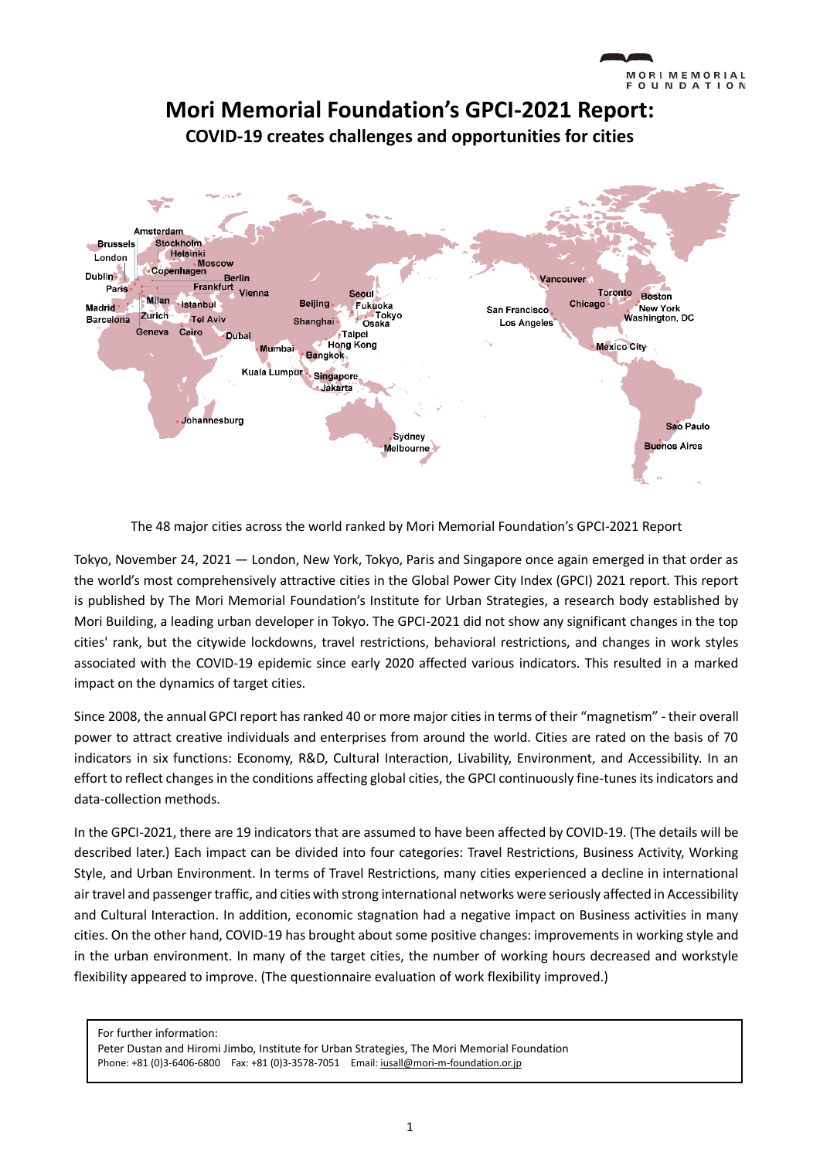

The 48 major cities across the world ranked by Mori Memorial Foundation's GPCI-2021 Report

Tokyo, November 24, 2021 — London, New York, Tokyo, Paris and Singapore once again emerged in that order as the world's most comprehensively attractive cities in the Global Power City Index (GPCI) 2021 report. This report is published by The Mori Memorial Foundation's Institute for Urban Strategies, a research body established by Mori Building, a leading urban developer in Tokyo. The GPCI-2021 did not show any significant changes in the top cities' rank, but the citywide lockdowns, travel restrictions, behavioral restrictions, and changes in work styles associated with the COVID-19 epidemic since early 2020 affected various indicators. This resulted in a marked impact on the dynamics of target cities.

Since 2008, the annual GPCI report has ranked 40 or more major cities in terms of their "magnetism" - their overall power to attract creative individuals and enterprises from around the world. Cities are rated on the basis of 70 indicators in six functions: Economy, R&D, Cultural Interaction, Livability, Environment, and Accessibility. In an effort to reflect changes in the conditions affecting global cities, the GPCI continuously fine-tunes its indicators and data-collection methods.

In the GPCI-2021, there are 19 indicators that are assumed to have been affected by COVID-19. (The details will be described later.) Each impact can be divided into four categories: Travel Restrictions, Business Activity, Working Style, and Urban Environment. In terms of Travel Restrictions, many cities experienced a decline in international air travel and passenger traffic, and cities with strong international networks were seriously affected in Accessibility and Cultural Interaction. In addition, economic stagnation had a negative impact on Business activities in many cities. On the other hand, COVID-19 has brought about some positive changes: improvements in working style and in the urban environment. In many of the target cities, the number of working hours decreased and workstyle flexibility appeared to improve. (The questionnaire evaluation of work flexibility improved.)

For further information: Peter Dustan and Hiromi Jimbo, Institute for Urban Strategies, The Mori Memorial Foundation Phone: +81 (0)3-6406-6800 Fax: +81 (0)3-3578-7051 Email[: iusall@mori-m-foundation.or.jp](mailto:iusall@mori-m-foundation.or.jp)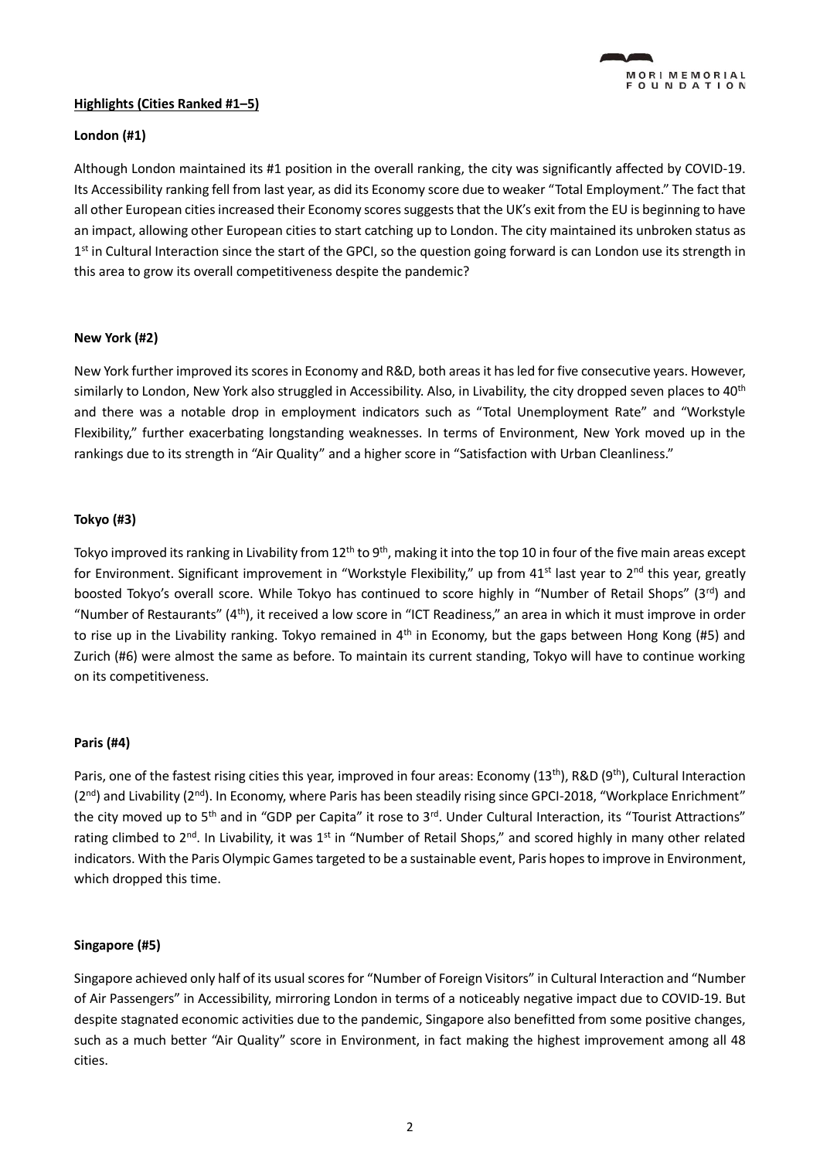# **Highlights (Cities Ranked #1–5)**

# **London (#1)**

Although London maintained its #1 position in the overall ranking, the city was significantly affected by COVID-19. Its Accessibility ranking fell from last year, as did its Economy score due to weaker "Total Employment." The fact that all other European cities increased their Economy scores suggests that the UK's exit from the EU is beginning to have an impact, allowing other European cities to start catching up to London. The city maintained its unbroken status as 1<sup>st</sup> in Cultural Interaction since the start of the GPCI, so the question going forward is can London use its strength in this area to grow its overall competitiveness despite the pandemic?

### **New York (#2)**

New York further improved its scores in Economy and R&D, both areas it has led for five consecutive years. However, similarly to London, New York also struggled in Accessibility. Also, in Livability, the city dropped seven places to 40<sup>th</sup> and there was a notable drop in employment indicators such as "Total Unemployment Rate" and "Workstyle Flexibility," further exacerbating longstanding weaknesses. In terms of Environment, New York moved up in the rankings due to its strength in "Air Quality" and a higher score in "Satisfaction with Urban Cleanliness."

# **Tokyo (#3)**

Tokyo improved its ranking in Livability from  $12^{th}$  to  $9^{th}$ , making it into the top 10 in four of the five main areas except for Environment. Significant improvement in "Workstyle Flexibility," up from  $41<sup>st</sup>$  last year to  $2<sup>nd</sup>$  this year, greatly boosted Tokyo's overall score. While Tokyo has continued to score highly in "Number of Retail Shops" (3rd) and "Number of Restaurants" ( $4<sup>th</sup>$ ), it received a low score in "ICT Readiness," an area in which it must improve in order to rise up in the Livability ranking. Tokyo remained in 4<sup>th</sup> in Economy, but the gaps between Hong Kong (#5) and Zurich (#6) were almost the same as before. To maintain its current standing, Tokyo will have to continue working on its competitiveness.

#### **Paris (#4)**

Paris, one of the fastest rising cities this year, improved in four areas: Economy (13<sup>th</sup>), R&D (9<sup>th</sup>), Cultural Interaction  $(2^{nd})$  and Livability  $(2^{nd})$ . In Economy, where Paris has been steadily rising since GPCI-2018, "Workplace Enrichment" the city moved up to 5<sup>th</sup> and in "GDP per Capita" it rose to 3<sup>rd</sup>. Under Cultural Interaction, its "Tourist Attractions" rating climbed to 2<sup>nd</sup>. In Livability, it was 1<sup>st</sup> in "Number of Retail Shops," and scored highly in many other related indicators. With the Paris Olympic Games targeted to be a sustainable event, Paris hopes to improve in Environment, which dropped this time.

# **Singapore (#5)**

Singapore achieved only half of its usual scores for "Number of Foreign Visitors" in Cultural Interaction and "Number of Air Passengers" in Accessibility, mirroring London in terms of a noticeably negative impact due to COVID-19. But despite stagnated economic activities due to the pandemic, Singapore also benefitted from some positive changes, such as a much better "Air Quality" score in Environment, in fact making the highest improvement among all 48 cities.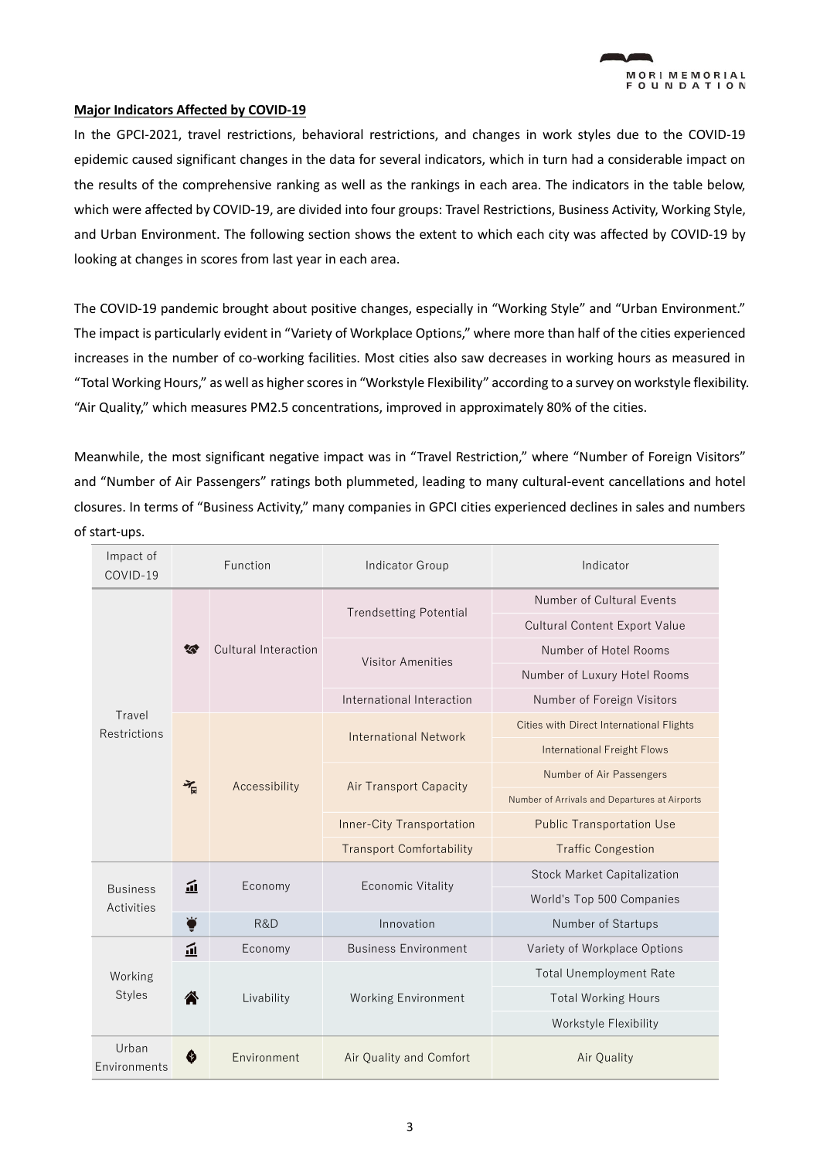

#### **Major Indicators Affected by COVID-19**

In the GPCI-2021, travel restrictions, behavioral restrictions, and changes in work styles due to the COVID-19 epidemic caused significant changes in the data for several indicators, which in turn had a considerable impact on the results of the comprehensive ranking as well as the rankings in each area. The indicators in the table below, which were affected by COVID-19, are divided into four groups: Travel Restrictions, Business Activity, Working Style, and Urban Environment. The following section shows the extent to which each city was affected by COVID-19 by looking at changes in scores from last year in each area.

The COVID-19 pandemic brought about positive changes, especially in "Working Style" and "Urban Environment." The impact is particularly evident in "Variety of Workplace Options," where more than half of the cities experienced increases in the number of co-working facilities. Most cities also saw decreases in working hours as measured in "Total Working Hours," as well as higher scores in "Workstyle Flexibility" according to a survey on workstyle flexibility. "Air Quality," which measures PM2.5 concentrations, improved in approximately 80% of the cities.

Meanwhile, the most significant negative impact was in "Travel Restriction," where "Number of Foreign Visitors" and "Number of Air Passengers" ratings both plummeted, leading to many cultural-event cancellations and hotel closures. In terms of "Business Activity," many companies in GPCI cities experienced declines in sales and numbers of start-ups.

| Impact of<br>COVID-19         | Function |                      | Indicator Group                  | Indicator                                     |  |  |
|-------------------------------|----------|----------------------|----------------------------------|-----------------------------------------------|--|--|
| Travel<br>Restrictions        | 答        | Cultural Interaction |                                  | Number of Cultural Events                     |  |  |
|                               |          |                      | <b>Trendsetting Potential</b>    | <b>Cultural Content Export Value</b>          |  |  |
|                               |          |                      | <b>Visitor Amenities</b>         | Number of Hotel Rooms                         |  |  |
|                               |          |                      |                                  | Number of Luxury Hotel Rooms                  |  |  |
|                               |          |                      | International Interaction        | Number of Foreign Visitors                    |  |  |
|                               | 气        | Accessibility        | <b>International Network</b>     | Cities with Direct International Flights      |  |  |
|                               |          |                      |                                  | <b>International Freight Flows</b>            |  |  |
|                               |          |                      |                                  | Number of Air Passengers                      |  |  |
|                               |          |                      | <b>Air Transport Capacity</b>    | Number of Arrivals and Departures at Airports |  |  |
|                               |          |                      | <b>Inner-City Transportation</b> | <b>Public Transportation Use</b>              |  |  |
|                               |          |                      | <b>Transport Comfortability</b>  | <b>Traffic Congestion</b>                     |  |  |
| <b>Business</b><br>Activities | 血        | Economy              | <b>Economic Vitality</b>         | <b>Stock Market Capitalization</b>            |  |  |
|                               |          |                      |                                  | World's Top 500 Companies                     |  |  |
|                               | 室        | R&D                  | Innovation                       | Number of Startups                            |  |  |
| Working<br><b>Styles</b>      | 血        | Economy              | <b>Business Environment</b>      | Variety of Workplace Options                  |  |  |
|                               | 各        | Livability           |                                  | <b>Total Unemployment Rate</b>                |  |  |
|                               |          |                      | <b>Working Environment</b>       | <b>Total Working Hours</b>                    |  |  |
|                               |          |                      |                                  | Workstyle Flexibility                         |  |  |
| Urban<br>Environments         | ♦        | Environment          | Air Quality and Comfort          | Air Quality                                   |  |  |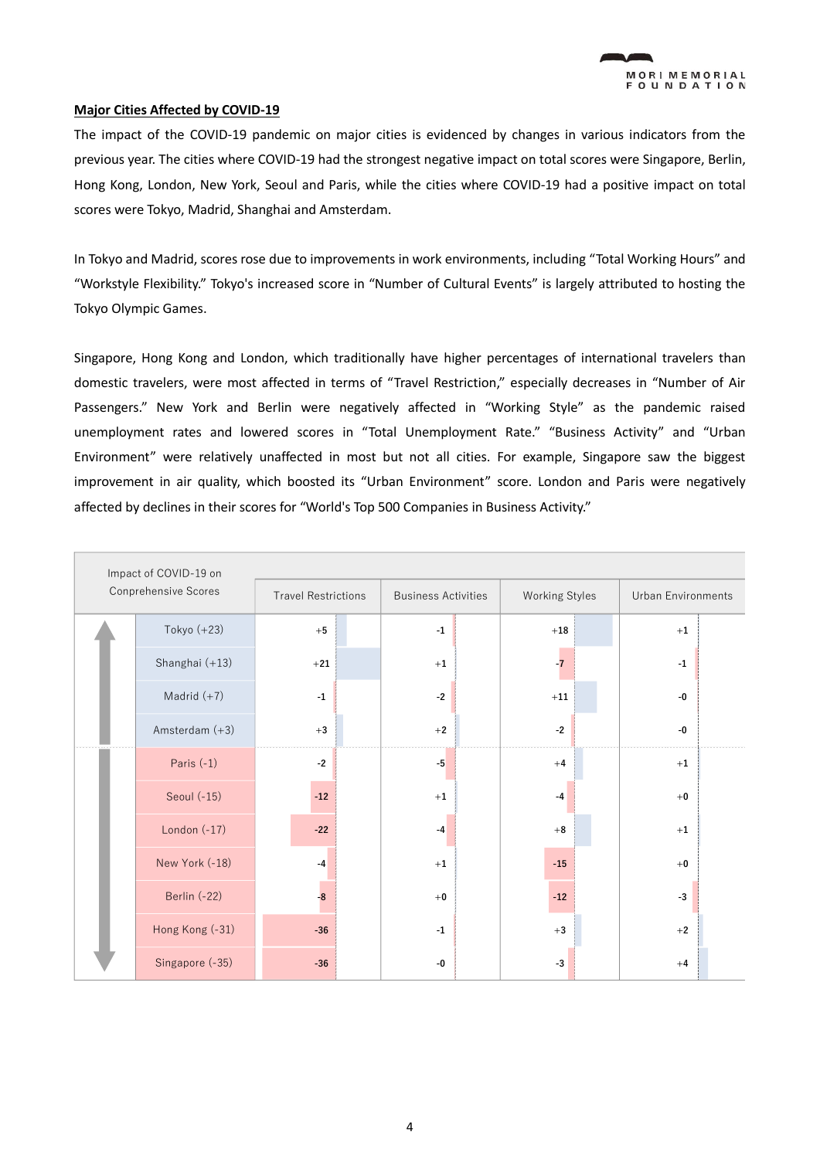### **Major Cities Affected by COVID-19**

The impact of the COVID-19 pandemic on major cities is evidenced by changes in various indicators from the previous year. The cities where COVID-19 had the strongest negative impact on total scores were Singapore, Berlin, Hong Kong, London, New York, Seoul and Paris, while the cities where COVID-19 had a positive impact on total scores were Tokyo, Madrid, Shanghai and Amsterdam.

In Tokyo and Madrid, scores rose due to improvements in work environments, including "Total Working Hours" and "Workstyle Flexibility." Tokyo's increased score in "Number of Cultural Events" is largely attributed to hosting the Tokyo Olympic Games.

Singapore, Hong Kong and London, which traditionally have higher percentages of international travelers than domestic travelers, were most affected in terms of "Travel Restriction," especially decreases in "Number of Air Passengers." New York and Berlin were negatively affected in "Working Style" as the pandemic raised unemployment rates and lowered scores in "Total Unemployment Rate." "Business Activity" and "Urban Environment" were relatively unaffected in most but not all cities. For example, Singapore saw the biggest improvement in air quality, which boosted its "Urban Environment" score. London and Paris were negatively affected by declines in their scores for "World's Top 500 Companies in Business Activity."

| Impact of COVID-19 on |                 |                            |                            |  |                       |                    |  |  |  |
|-----------------------|-----------------|----------------------------|----------------------------|--|-----------------------|--------------------|--|--|--|
| Conprehensive Scores  |                 | <b>Travel Restrictions</b> | <b>Business Activities</b> |  | <b>Working Styles</b> | Urban Environments |  |  |  |
|                       | Tokyo (+23)     | $+5$                       | $^{\rm -1}$                |  | $+18$                 | $+1$               |  |  |  |
|                       | Shanghai (+13)  | $+21$                      | $+1$                       |  | $-7$                  | $-1$               |  |  |  |
|                       | Madrid $(+7)$   | $^{\rm -1}$                | $-2$                       |  | $+11$                 | $-0$               |  |  |  |
|                       | Amsterdam (+3)  | $+3$                       | $+2$                       |  | $-2$                  | -0                 |  |  |  |
|                       | Paris (-1)      | $-2$                       | $-5$                       |  | $+4$                  | $+1$               |  |  |  |
|                       | Seoul (-15)     | $-12$                      | $+1$                       |  | $-4$                  | $+0$               |  |  |  |
|                       | London $(-17)$  | $-22$                      | $-4$                       |  | $+8$                  | $+1$               |  |  |  |
|                       | New York (-18)  | $-4$                       | $+1$                       |  | $-15$                 | $+0$               |  |  |  |
|                       | Berlin (-22)    | $-8$                       | $+0$                       |  | $-12$                 | $-3$               |  |  |  |
|                       | Hong Kong (-31) | $-36$                      | $^{\rm -1}$                |  | $+3$                  | $+2$               |  |  |  |
|                       | Singapore (-35) | $-36$                      | -0                         |  | $-3$                  | $+4$               |  |  |  |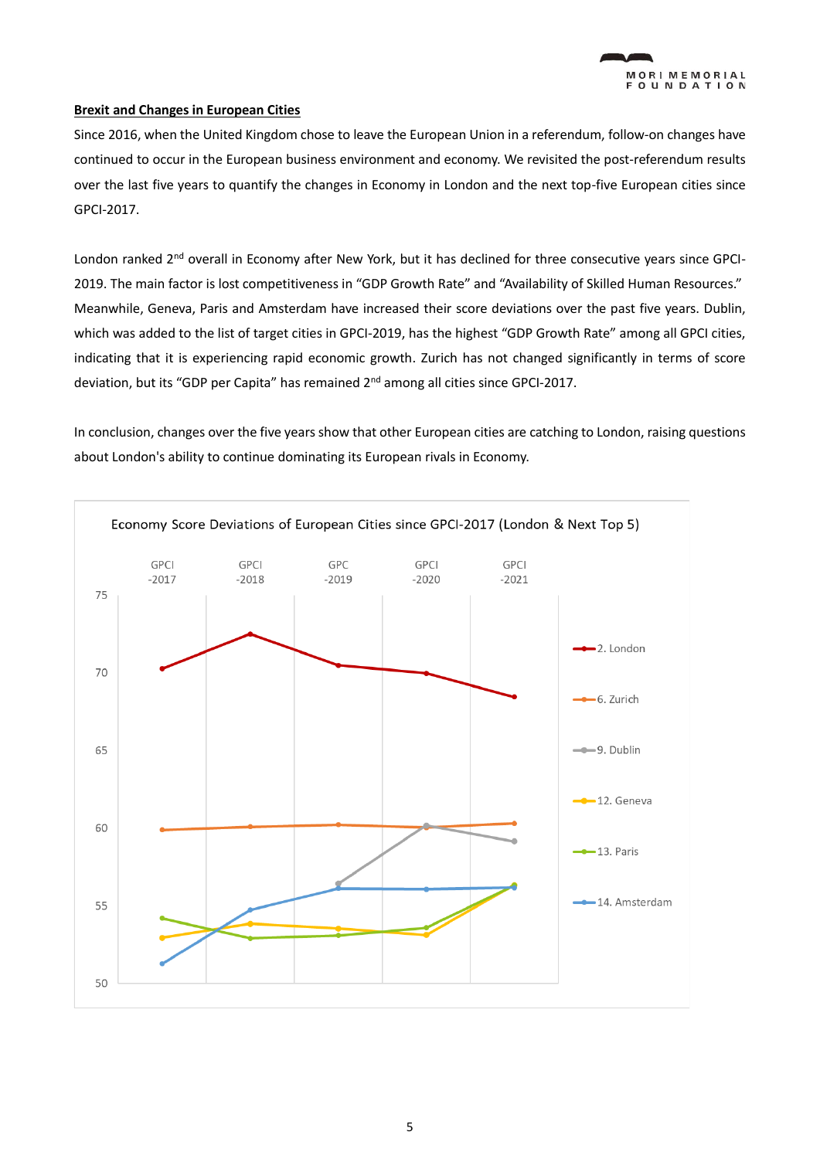### **Brexit and Changes in European Cities**

Since 2016, when the United Kingdom chose to leave the European Union in a referendum, follow-on changes have continued to occur in the European business environment and economy. We revisited the post-referendum results over the last five years to quantify the changes in Economy in London and the next top-five European cities since GPCI-2017.

London ranked 2<sup>nd</sup> overall in Economy after New York, but it has declined for three consecutive years since GPCI-2019. The main factor is lost competitiveness in "GDP Growth Rate" and "Availability of Skilled Human Resources." Meanwhile, Geneva, Paris and Amsterdam have increased their score deviations over the past five years. Dublin, which was added to the list of target cities in GPCI-2019, has the highest "GDP Growth Rate" among all GPCI cities, indicating that it is experiencing rapid economic growth. Zurich has not changed significantly in terms of score deviation, but its "GDP per Capita" has remained 2<sup>nd</sup> among all cities since GPCI-2017.

In conclusion, changes over the five years show that other European cities are catching to London, raising questions about London's ability to continue dominating its European rivals in Economy.

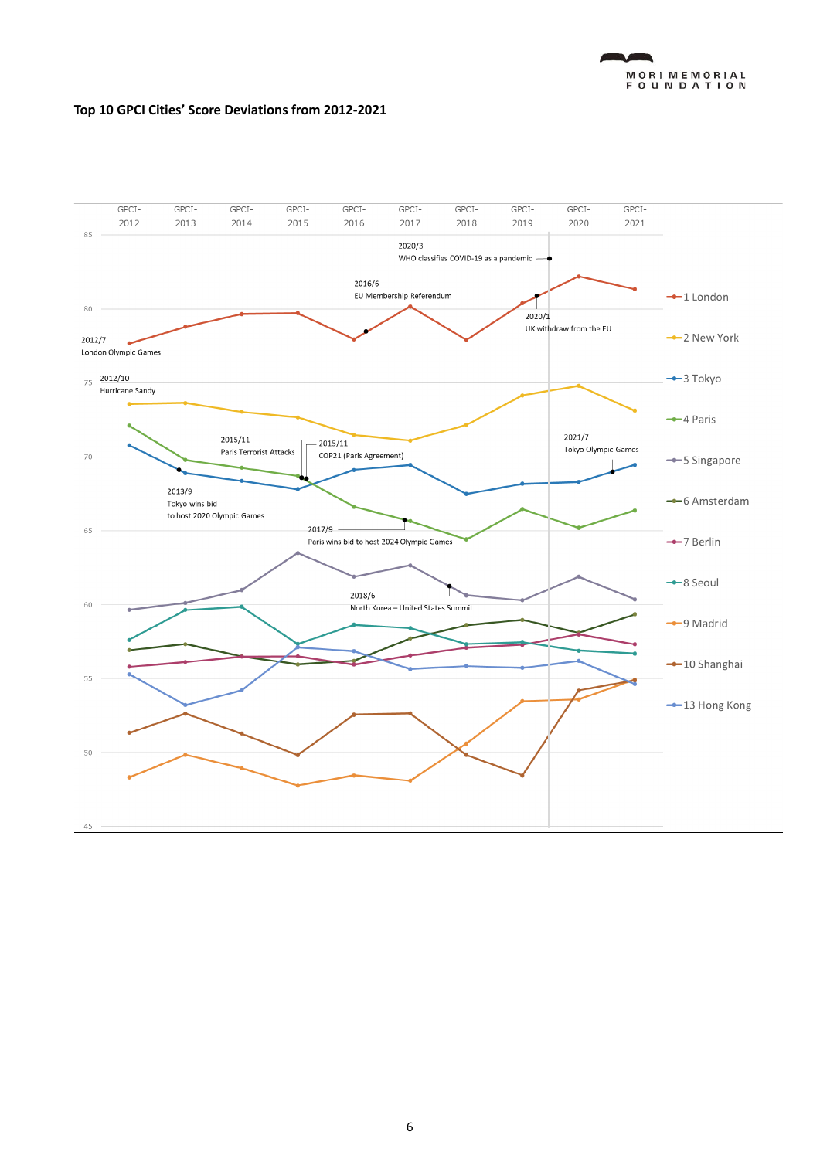

### **Top 10 GPCI Cities' Score Deviations from 2012-2021**